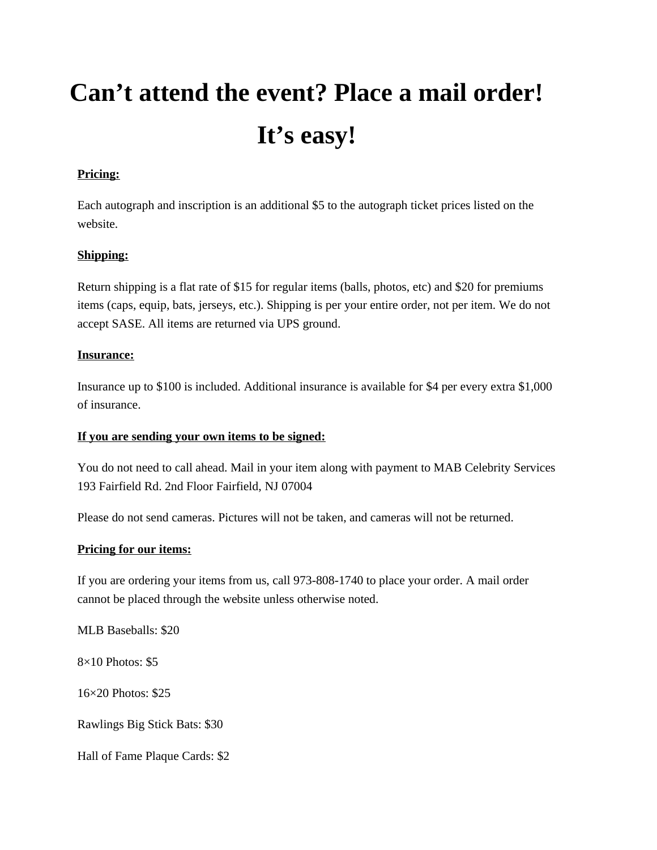# **Can't attend the event? Place a mail order! It's easy!**

# **Pricing:**

Each autograph and inscription is an additional \$5 to the autograph ticket prices listed on the website.

### **Shipping:**

Return shipping is a flat rate of \$15 for regular items (balls, photos, etc) and \$20 for premiums items (caps, equip, bats, jerseys, etc.). Shipping is per your entire order, not per item. We do not accept SASE. All items are returned via UPS ground.

#### **Insurance:**

Insurance up to \$100 is included. Additional insurance is available for \$4 per every extra \$1,000 of insurance.

### **If you are sending your own items to be signed:**

You do not need to call ahead. Mail in your item along with payment to MAB Celebrity Services 193 Fairfield Rd. 2nd Floor Fairfield, NJ 07004

Please do not send cameras. Pictures will not be taken, and cameras will not be returned.

### **Pricing for our items:**

If you are ordering your items from us, call 973-808-1740 to place your order. A mail order cannot be placed through the website unless otherwise noted.

MLB Baseballs: \$20

8×10 Photos: \$5

16×20 Photos: \$25

Rawlings Big Stick Bats: \$30

Hall of Fame Plaque Cards: \$2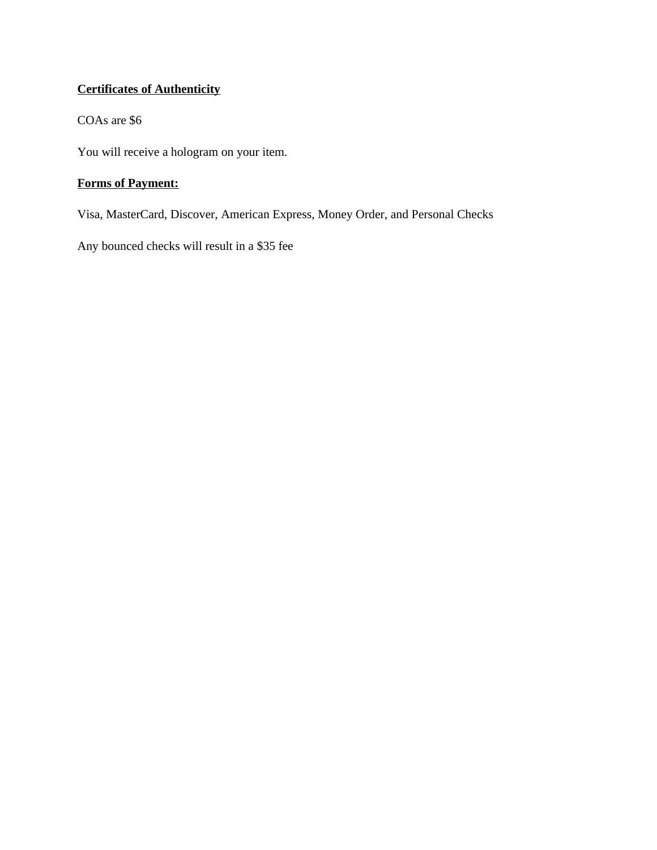# **Certificates of Authenticity**

# COAs are \$6

You will receive a hologram on your item.

# **Forms of Payment:**

Visa, MasterCard, Discover, American Express, Money Order, and Personal Checks

Any bounced checks will result in a \$35 fee